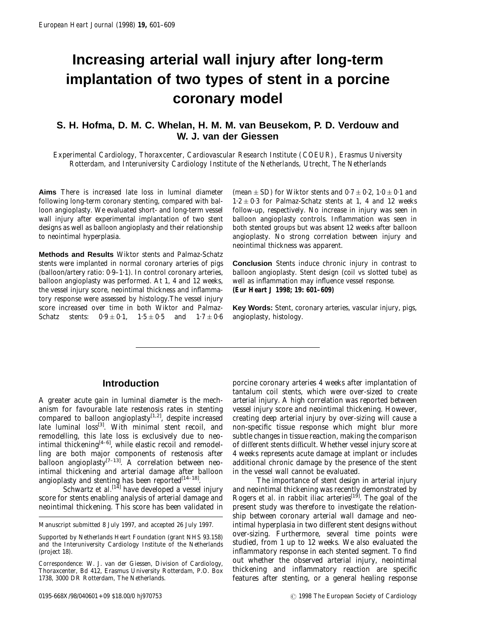# **Increasing arterial wall injury after long-term implantation of two types of stent in a porcine coronary model**

## **S. H. Hofma, D. M. C. Whelan, H. M. M. van Beusekom, P. D. Verdouw and W. J. van der Giessen**

*Experimental Cardiology, Thoraxcenter, Cardiovascular Research Institute (COEUR), Erasmus University Rotterdam, and Interuniversity Cardiology Institute of the Netherlands, Utrecht, The Netherlands*

**Aims** There is increased late loss in luminal diameter following long-term coronary stenting, compared with balloon angioplasty. We evaluated short- and long-term vessel wall injury after experimental implantation of two stent designs as well as balloon angioplasty and their relationship to neointimal hyperplasia.

**Methods and Results** Wiktor stents and Palmaz-Schatz stents were implanted in normal coronary arteries of pigs (balloon/artery ratio: 0·9–1·1). In control coronary arteries, balloon angioplasty was performed. At 1, 4 and 12 weeks, the vessel injury score, neointimal thickness and inflammatory response were assessed by histology.The vessel injury score increased over time in both Wiktor and Palmaz-Schatz stents:  $0.9 \pm 0.1$ ,  $1.5 \pm 0.5$  and  $1.7 \pm 0.6$ 

(mean  $\pm$  SD) for Wiktor stents and 0·7  $\pm$  0·2, 1·0  $\pm$  0·1 and  $1.2 \pm 0.3$  for Palmaz-Schatz stents at 1, 4 and 12 weeks follow-up, respectively. No increase in injury was seen in balloon angioplasty controls. Inflammation was seen in both stented groups but was absent 12 weeks after balloon angioplasty. No strong correlation between injury and neointimal thickness was apparent.

**Conclusion** Stents induce chronic injury in contrast to balloon angioplasty. Stent design (coil vs slotted tube) as well as inflammation may influence vessel response. **(Eur Heart J 1998; 19: 601–609)**

**Key Words:** Stent, coronary arteries, vascular injury, pigs, angioplasty, histology.

## **Introduction**

A greater acute gain in luminal diameter is the mechanism for favourable late restenosis rates in stenting compared to balloon angioplasty $[1,2]$ , despite increased late luminal loss<sup>[3]</sup>. With minimal stent recoil, and remodelling, this late loss is exclusively due to neointimal thickening $[4-6]$ , while elastic recoil and remodelling are both major components of restenosis after balloon angioplasty<sup>[7–13]</sup>. A correlation between neointimal thickening and arterial damage after balloon angioplasty and stenting has been reported $[14-18]$ .

Schwartz *et al.*<sup>[14]</sup> have developed a vessel injury score for stents enabling analysis of arterial damage and neointimal thickening. This score has been validated in

Manuscript submitted 8 July 1997, and accepted 26 July 1997.

porcine coronary arteries 4 weeks after implantation of tantalum coil stents, which were over-sized to create arterial injury. A high correlation was reported between vessel injury score and neointimal thickening. However, creating deep arterial injury by over-sizing will cause a non-specific tissue response which might blur more subtle changes in tissue reaction, making the comparison of different stents difficult. Whether vessel injury score at 4 weeks represents acute damage at implant or includes additional chronic damage by the presence of the stent in the vessel wall cannot be evaluated.

The importance of stent design in arterial injury and neointimal thickening was recently demonstrated by Rogers *et al.* in rabbit iliac arteries<sup>[19]</sup>. The goal of the present study was therefore to investigate the relationship between coronary arterial wall damage and neointimal hyperplasia in two different stent designs without over-sizing. Furthermore, several time points were studied, from 1 up to 12 weeks. We also evaluated the inflammatory response in each stented segment. To find out whether the observed arterial injury, neointimal thickening and inflammatory reaction are specific features after stenting, or a general healing response

Supported by Netherlands Heart Foundation (grant NHS 93.158) and the Interuniversity Cardiology Institute of the Netherlands (project 18).

*Correspondence:* W. J. van der Giessen, Division of Cardiology, Thoraxcenter, Bd 412, Erasmus University Rotterdam, P.O. Box 1738, 3000 DR Rotterdam, The Netherlands.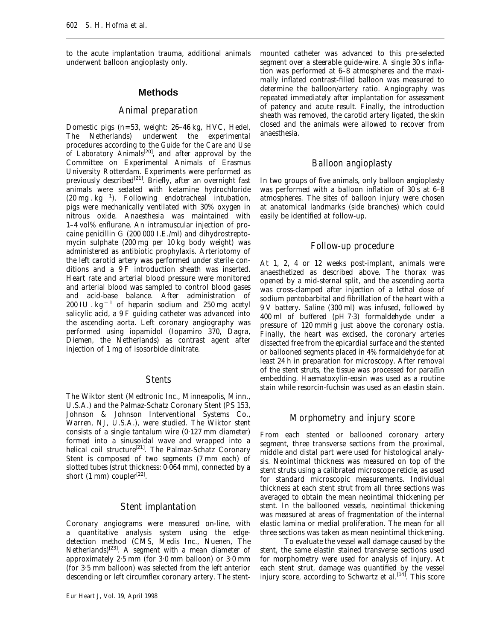to the acute implantation trauma, additional animals underwent balloon angioplasty only.

## **Methods**

#### *Animal preparation*

Domestic pigs (n=53, weight: 26–46 kg, HVC, Hedel, The Netherlands) underwent the experimental procedures according to the *Guide for the Care and Use of Laboratory Animals*<sup>[20]</sup>, and after approval by the Committee on Experimental Animals of Erasmus University Rotterdam. Experiments were performed as previously described<sup>[21]</sup>. Briefly, after an overnight fast animals were sedated with ketamine hydrochloride  $(20 \text{ mg} \cdot \text{kg}^{-1})$ . Following endotracheal intubation, pigs were mechanically ventilated with 30% oxygen in nitrous oxide. Anaesthesia was maintained with 1–4 vol% enflurane. An intramuscular injection of procaine penicillin G (200 000 I.E./ml) and dihydrostreptomycin sulphate (200 mg per 10 kg body weight) was administered as antibiotic prophylaxis. Arteriotomy of the left carotid artery was performed under sterile conditions and a 9 F introduction sheath was inserted. Heart rate and arterial blood pressure were monitored and arterial blood was sampled to control blood gases and acid-base balance. After administration of 200 IU .  $\text{kg}^{-1}$  of heparin sodium and 250 mg acetyl salicylic acid, a 9 F guiding catheter was advanced into the ascending aorta. Left coronary angiography was performed using iopamidol (Iopamiro 370, Dagra, Diemen, the Netherlands) as contrast agent after injection of 1 mg of isosorbide dinitrate.

#### *Stents*

The Wiktor stent (Medtronic Inc., Minneapolis, Minn., U.S.A.) and the Palmaz-Schatz Coronary Stent (PS 153, Johnson & Johnson Interventional Systems Co., Warren, NJ, U.S.A.), were studied. The Wiktor stent consists of a single tantalum wire (0·127 mm diameter) formed into a sinusoidal wave and wrapped into a helical coil structure<sup>[21]</sup>. The Palmaz-Schatz Coronary Stent is composed of two segments (7 mm each) of slotted tubes (strut thickness: 0.064 mm), connected by a short  $(1 \text{ mm})$  coupler<sup>[22]</sup>.

## *Stent implantation*

Coronary angiograms were measured on-line, with a quantitative analysis system using the edgedetection method (CMS, Medis Inc., Nuenen, The Netherlands)<sup>[23]</sup>. A segment with a mean diameter of approximately 2·5 mm (for 3·0 mm balloon) or 3·0 mm (for 3·5 mm balloon) was selected from the left anterior descending or left circumflex coronary artery. The stentmounted catheter was advanced to this pre-selected segment over a steerable guide-wire. A single 30 s inflation was performed at 6–8 atmospheres and the maximally inflated contrast-filled balloon was measured to determine the balloon/artery ratio. Angiography was repeated immediately after implantation for assessment of patency and acute result. Finally, the introduction sheath was removed, the carotid artery ligated, the skin closed and the animals were allowed to recover from anaesthesia.

## *Balloon angioplasty*

In two groups of five animals, only balloon angioplasty was performed with a balloon inflation of 30 s at 6–8 atmospheres. The sites of balloon injury were chosen at anatomical landmarks (side branches) which could easily be identified at follow-up.

#### *Follow-up procedure*

At 1, 2, 4 or 12 weeks post-implant, animals were anaesthetized as described above. The thorax was opened by a mid-sternal split, and the ascending aorta was cross-clamped after injection of a lethal dose of sodium pentobarbital and fibrillation of the heart with a 9 V battery. Saline (300 ml) was infused, followed by 400 ml of buffered (pH 7·3) formaldehyde under a pressure of 120 mmHg just above the coronary ostia. Finally, the heart was excised, the coronary arteries dissected free from the epicardial surface and the stented or ballooned segments placed in 4% formaldehyde for at least 24 h in preparation for microscopy. After removal of the stent struts, the tissue was processed for paraffin embedding. Haematoxylin-eosin was used as a routine stain while resorcin-fuchsin was used as an elastin stain.

#### *Morphometry and injury score*

From each stented or ballooned coronary artery segment, three transverse sections from the proximal, middle and distal part were used for histological analysis. Neointimal thickness was measured on top of the stent struts using a calibrated microscope reticle, as used for standard microscopic measurements. Individual thickness at each stent strut from all three sections was averaged to obtain the mean neointimal thickening per stent. In the ballooned vessels, neointimal thickening was measured at areas of fragmentation of the internal elastic lamina or medial proliferation. The mean for all three sections was taken as mean neointimal thickening.

To evaluate the vessel wall damage caused by the stent, the same elastin stained transverse sections used for morphometry were used for analysis of injury. At each stent strut, damage was quantified by the vessel injury score, according to Schwartz *et al.*[14]. This score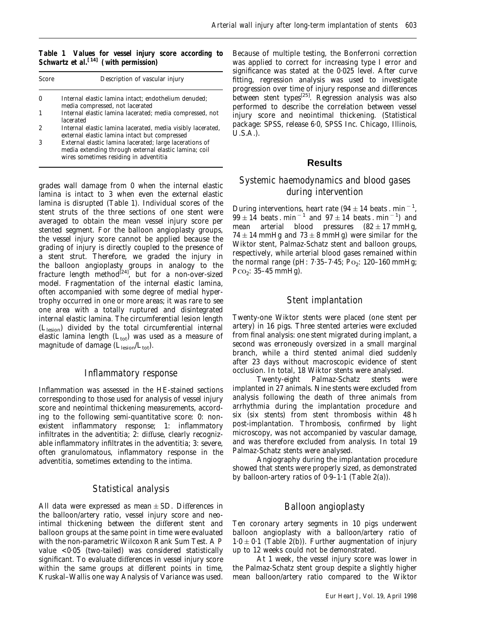*Table 1 Values for vessel injury score according to Schwartz* **et al***. [14] (with permission)*

| Score<br>$\Omega$ | Description of vascular injury                                                                                   |  |  |  |  |  |
|-------------------|------------------------------------------------------------------------------------------------------------------|--|--|--|--|--|
|                   | Internal elastic lamina intact; endothelium denuded;<br>media compressed, not lacerated                          |  |  |  |  |  |
|                   | Internal elastic lamina lacerated; media compressed, not<br>lacerated                                            |  |  |  |  |  |
|                   | Internal elastic lamina lacerated, media visibly lacerated,<br>external elastic lamina intact but compressed     |  |  |  |  |  |
|                   | External elastic lamina lacerated; large lacerations of<br>media extending through external elastic lamina; coil |  |  |  |  |  |

wires sometimes residing in adventitia

grades wall damage from 0 when the internal elastic lamina is intact to 3 when even the external elastic lamina is disrupted (Table 1). Individual scores of the stent struts of the three sections of one stent were averaged to obtain the mean vessel injury score per stented segment. For the balloon angioplasty groups, the vessel injury score cannot be applied because the grading of injury is directly coupled to the presence of a stent strut. Therefore, we graded the injury in the balloon angioplasty groups in analogy to the fracture length method<sup>[24]</sup>, but for a non-over-sized model. Fragmentation of the internal elastic lamina, often accompanied with some degree of medial hypertrophy occurred in one or more areas; it was rare to see one area with a totally ruptured and disintegrated internal elastic lamina. The circumferential lesion length  $(L<sub>lesion</sub>)$  divided by the total circumferential internal elastic lamina length  $(L_{tot})$  was used as a measure of magnitude of damage  $(L_{\text{lesion}}/L_{\text{tot}})$ .

#### *Inflammatory response*

Inflammation was assessed in the HE-stained sections corresponding to those used for analysis of vessel injury score and neointimal thickening measurements, according to the following semi-quantitative score: 0: nonexistent inflammatory response; 1: inflammatory infiltrates in the adventitia; 2: diffuse, clearly recognizable inflammatory infiltrates in the adventitia; 3: severe, often granulomatous, inflammatory response in the adventitia, sometimes extending to the intima.

#### *Statistical analysis*

All data were expressed as mean  $\pm$  SD. Differences in the balloon/artery ratio, vessel injury score and neointimal thickening between the different stent and balloon groups at the same point in time were evaluated with the non-parametric Wilcoxon Rank Sum Test. A *P* value <0·05 (two-tailed) was considered statistically significant. To evaluate differences in vessel injury score within the same groups at different points in time, Kruskal–Wallis one way Analysis of Variance was used.

Because of multiple testing, the Bonferroni correction was applied to correct for increasing type I error and significance was stated at the 0·025 level. After curve fitting, regression analysis was used to investigate progression over time of injury response and differences between stent types<sup>[25]</sup>. Regression analysis was also performed to describe the correlation between vessel injury score and neointimal thickening. (Statistical package: SPSS, release 6·0, SPSS Inc. Chicago, Illinois, U.S.A.).

## **Results**

# *Systemic haemodynamics and blood gases during intervention*

During interventions, heart rate (94  $\pm$  14 beats . min<sup>-1</sup>,  $99 \pm 14$  beats . min<sup>-1</sup> and  $97 \pm 14$  beats . min<sup>-1</sup>) and mean arterial blood pressures  $(82 \pm 17 \text{ mmHg})$  $74 \pm 14$  mmHg and  $73 \pm 8$  mmHg) were similar for the Wiktor stent, Palmaz-Schatz stent and balloon groups, respectively, while arterial blood gases remained within the normal range (pH: 7.35–7.45; *P*<sub>0</sub>: 120–160 mmHg;  $P_{\text{CO}_2}$ : 35–45 mmHg).

## *Stent implantation*

Twenty-one Wiktor stents were placed (one stent per artery) in 16 pigs. Three stented arteries were excluded from final analysis: one stent migrated during implant, a second was erroneously oversized in a small marginal branch, while a third stented animal died suddenly after 23 days without macroscopic evidence of stent occlusion. In total, 18 Wiktor stents were analysed.

Twenty-eight Palmaz-Schatz stents were implanted in 27 animals. Nine stents were excluded from analysis following the death of three animals from arrhythmia during the implantation procedure and six (six stents) from stent thrombosis within 48 h post-implantation. Thrombosis, confirmed by light microscopy, was not accompanied by vascular damage, and was therefore excluded from analysis. In total 19 Palmaz-Schatz stents were analysed.

Angiography during the implantation procedure showed that stents were properly sized, as demonstrated by balloon-artery ratios of 0·9–1·1 (Table 2(a)).

## *Balloon angioplasty*

Ten coronary artery segments in 10 pigs underwent balloon angioplasty with a balloon/artery ratio of  $1·0 \pm 0·1$  (Table 2(b)). Further augmentation of injury up to 12 weeks could not be demonstrated.

At 1 week, the vessel injury score was lower in the Palmaz-Schatz stent group despite a slightly higher mean balloon/artery ratio compared to the Wiktor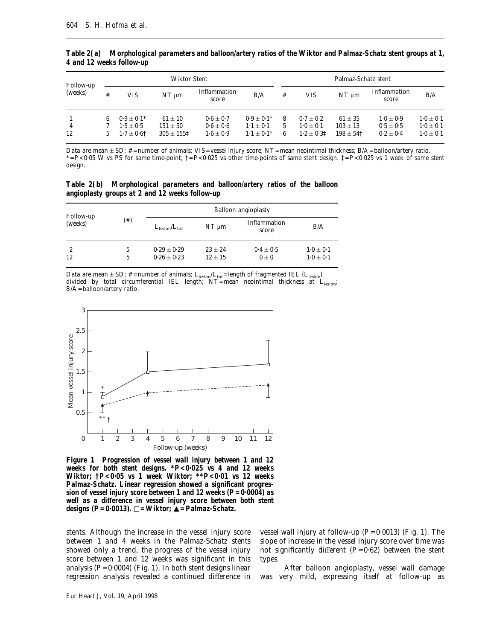| Follow-up<br>(weeks) | <b>Wiktor Stent</b> |                                  |                                |                                |                                 | Palmaz-Schatz stent |                                 |                                           |                            |                                          |
|----------------------|---------------------|----------------------------------|--------------------------------|--------------------------------|---------------------------------|---------------------|---------------------------------|-------------------------------------------|----------------------------|------------------------------------------|
|                      | #                   | VIS                              | $NT \mu m$                     | Inflammation<br>score          | B/A                             | #                   | VIS                             | $NT \mu m$                                | Inflammation<br>score      | B/A                                      |
|                      | 6                   | $0.9 \pm 0.1*$                   | $61 \pm 10$                    | $0.6 \pm 0.7$                  | $0.9 \pm 0.1*$                  | 8                   | $0.7 \pm 0.2$                   | $61 \pm 35$                               | $1.0 \pm 0.9$              | $1.0 \pm 0.1$                            |
| $\overline{4}$<br>12 | 5                   | $1.5 \pm 0.5$<br>$1.7 \pm 0.6$ † | $151 \pm 50$<br>$305 \pm 1551$ | $0.6 \pm 0.6$<br>$1.6 \pm 0.9$ | $1.1 \pm 0.1$<br>$1.1 \pm 0.1*$ | 5<br>6              | $1.0 \pm 0.1$<br>$1.2 \pm 0.31$ | $103 \pm 13$<br>$198 \pm 54$ <sup>†</sup> | $0.5\pm0.5$<br>$0.2\pm0.4$ | $1\cdot 0 \pm 0\cdot 1$<br>$1.0 \pm 0.1$ |

*Table 2(a) Morphological parameters and balloon/artery ratios of the Wiktor and Palmaz-Schatz stent groups at 1, 4 and 12 weeks follow-up*

Data are mean  $\pm$  SD; #=number of animals; VIS=vessel injury score; NT=mean neointimal thickness; B/A=balloon/artery ratio. \*=*P*<0·05 W vs PS for same time-point; †*=P*<0·025 vs other time-points of same stent design. ‡*=P*<0·025 vs 1 week of same stent design.

*Table 2(b) Morphological parameters and balloon/artery ratios of the balloon angioplasty groups at 2 and 12 weeks follow-up*

|                      |        | Balloon angioplasty                |                            |                           |                                          |  |  |  |
|----------------------|--------|------------------------------------|----------------------------|---------------------------|------------------------------------------|--|--|--|
| Follow-up<br>(weeks) | (#)    | $L_{\text{lesion}}/L_{\text{tot}}$ | $NT \mu m$                 | Inflammation<br>score     | B/A                                      |  |  |  |
| 2<br>12              | 5<br>5 | $0.29 \pm 0.29$<br>$0.26 \pm 0.23$ | $23 \pm 24$<br>$12 \pm 15$ | $0.4 \pm 0.5$<br>$0\pm 0$ | $1.0 \pm 0.1$<br>$1\cdot 0 \pm 0\cdot 1$ |  |  |  |

Data are mean  $\pm$  SD; #=number of animals;  $L_{\text{lesion}}/L_{\text{tot}}$ =length of fragmented IEL ( $L_{\text{lesion}}$ ) divided by total circumferential IEL length; NT=mean neointimal thickness at  $\rm L_{lesion}$ ; B/A=balloon/artery ratio.



*Figure 1* **Progression of vessel wall injury between 1 and 12 weeks for both stent designs. \****P***<0·025 vs 4 and 12 weeks Wiktor; †***P***<0·05 vs 1 week Wiktor; \*\****P***<0·01 vs 12 weeks Palmaz-Schatz. Linear regression showed a significant progression of vessel injury score between 1 and 12 weeks (***P***=0·0004) as well as a difference in vessel injury score between both stent** designs  $(P=0.0013)$ .  $\Box$  = Wiktor;  $\triangle$  = Palmaz-Schatz.

stents. Although the increase in the vessel injury score between 1 and 4 weeks in the Palmaz-Schatz stents showed only a trend, the progress of the vessel injury score between 1 and 12 weeks was significant in this analysis (*P*=0·0004) (Fig. 1). In both stent designs linear regression analysis revealed a continued difference in vessel wall injury at follow-up (*P*=0·0013) (Fig. 1). The slope of increase in the vessel injury score over time was not significantly different (*P*=0·62) between the stent types.

After balloon angioplasty, vessel wall damage was very mild, expressing itself at follow-up as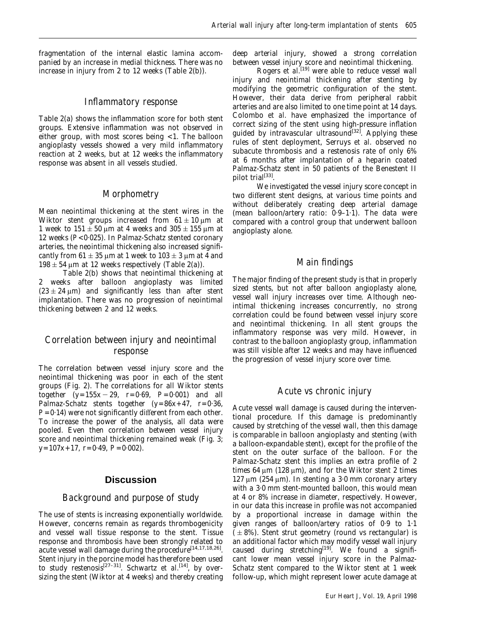fragmentation of the internal elastic lamina accompanied by an increase in medial thickness. There was no increase in injury from 2 to 12 weeks (Table 2(b)).

#### *Inflammatory response*

Table 2(a) shows the inflammation score for both stent groups. Extensive inflammation was not observed in either group, with most scores being  $\lt 1$ . The balloon angioplasty vessels showed a very mild inflammatory reaction at 2 weeks, but at 12 weeks the inflammatory response was absent in all vessels studied.

## *Morphometry*

Mean neointimal thickening at the stent wires in the Wiktor stent groups increased from  $61 \pm 10$  µm at 1 week to  $151 \pm 50$  µm at 4 weeks and  $305 \pm 155$  µm at 12 weeks (*P*<0·025). In Palmaz-Schatz stented coronary arteries, the neointimal thickening also increased significantly from  $61 \pm 35$  µm at 1 week to  $103 \pm 3$  µm at 4 and  $198 \pm 54$  µm at 12 weeks respectively (Table 2(a)).

Table 2(b) shows that neointimal thickening at 2 weeks after balloon angioplasty was limited  $(23 \pm 24 \,\mu m)$  and significantly less than after stent implantation. There was no progression of neointimal thickening between 2 and 12 weeks.

# *Correlation between injury and neointimal response*

The correlation between vessel injury score and the neointimal thickening was poor in each of the stent groups (Fig. 2). The correlations for all Wiktor stents together  $(y=155x-29, r=0.69, P=0.001)$  and all Palmaz-Schatz stents together  $(y=86x+47, r=0.36,$ *P*=0·14) were not significantly different from each other. To increase the power of the analysis, all data were pooled. Even then correlation between vessel injury score and neointimal thickening remained weak (Fig. 3;  $y=107x+17$ ,  $r=0.49$ ,  $P=0.002$ ).

#### **Discussion**

## *Background and purpose of study*

The use of stents is increasing exponentially worldwide. However, concerns remain as regards thrombogenicity and vessel wall tissue response to the stent. Tissue response and thrombosis have been strongly related to acute vessel wall damage during the procedure<sup>[14,17,18,26]</sup>. Stent injury in the porcine model has therefore been used to study restenosis<sup>[27–31]</sup>. Schwartz *et al.*<sup>[14]</sup>, by oversizing the stent (Wiktor at 4 weeks) and thereby creating

deep arterial injury, showed a strong correlation between vessel injury score and neointimal thickening.

Rogers *et al.*<sup>[19]</sup> were able to reduce vessel wall injury and neointimal thickening after stenting by modifying the geometric configuration of the stent. However, their data derive from peripheral rabbit arteries and are also limited to one time point at 14 days. Colombo *et al.* have emphasized the importance of correct sizing of the stent using high-pressure inflation guided by intravascular ultrasound<sup>[32]</sup>. Applying these rules of stent deployment, Serruys *et al.* observed no subacute thrombosis and a restenosis rate of only 6% at 6 months after implantation of a heparin coated Palmaz-Schatz stent in 50 patients of the Benestent II pilot trial<sup>[33]</sup>.

We investigated the vessel injury score concept in two different stent designs, at various time points and without deliberately creating deep arterial damage (mean balloon/artery ratio: 0·9–1·1). The data were compared with a control group that underwent balloon angioplasty alone.

## *Main findings*

The major finding of the present study is that in properly sized stents, but not after balloon angioplasty alone, vessel wall injury increases over time. Although neointimal thickening increases concurrently, no strong correlation could be found between vessel injury score and neointimal thickening. In all stent groups the inflammatory response was very mild. However, in contrast to the balloon angioplasty group, inflammation was still visible after 12 weeks and may have influenced the progression of vessel injury score over time.

#### *Acute vs chronic injury*

Acute vessel wall damage is caused during the interventional procedure. If this damage is predominantly caused by stretching of the vessel wall, then this damage is comparable in balloon angioplasty and stenting (with a balloon-expandable stent), except for the profile of the stent on the outer surface of the balloon. For the Palmaz-Schatz stent this implies an extra profile of 2 times 64  $\mu$ m (128  $\mu$ m), and for the Wiktor stent 2 times  $127 \mu m$  (254  $\mu$ m). In stenting a 3.0 mm coronary artery with a 3·0 mm stent-mounted balloon, this would mean at 4 or 8% increase in diameter, respectively. However, in our data this increase in profile was not accompanied by a proportional increase in damage within the given ranges of balloon/artery ratios of 0·9 to 1·1  $(±8%)$ . Stent strut geometry (round vs rectangular) is an additional factor which may modify vessel wall injury caused during stretching<sup>[19]</sup>. We found a significant lower mean vessel injury score in the Palmaz-Schatz stent compared to the Wiktor stent at 1 week follow-up, which might represent lower acute damage at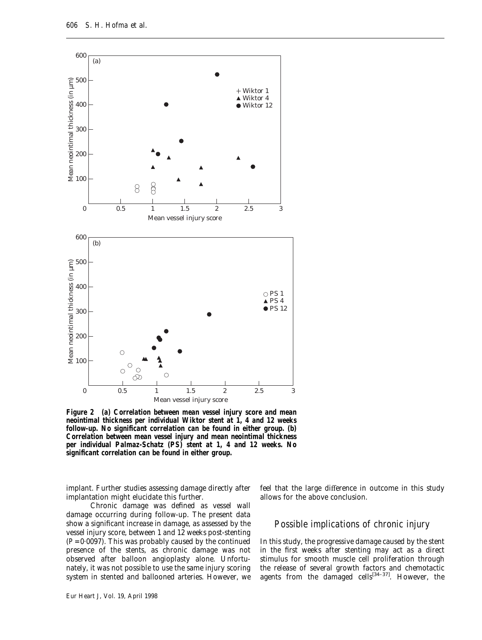

*Figure 2* **(a) Correlation between mean vessel injury score and mean neointimal thickness per individual Wiktor stent at 1, 4 and 12 weeks follow-up. No significant correlation can be found in either group. (b) Correlation between mean vessel injury and mean neointimal thickness per individual Palmaz-Schatz (PS) stent at 1, 4 and 12 weeks. No significant correlation can be found in either group.**

implant. Further studies assessing damage directly after implantation might elucidate this further.

Chronic damage was defined as vessel wall damage occurring during follow-up. The present data show a significant increase in damage, as assessed by the vessel injury score, between 1 and 12 weeks post-stenting  $(P=0.0097)$ . This was probably caused by the continued presence of the stents, as chronic damage was not observed after balloon angioplasty alone. Unfortunately, it was not possible to use the same injury scoring system in stented and ballooned arteries. However, we

feel that the large difference in outcome in this study allows for the above conclusion.

## *Possible implications of chronic injury*

In this study, the progressive damage caused by the stent in the first weeks after stenting may act as a direct stimulus for smooth muscle cell proliferation through the release of several growth factors and chemotactic agents from the damaged cells $[34-37]$ . However, the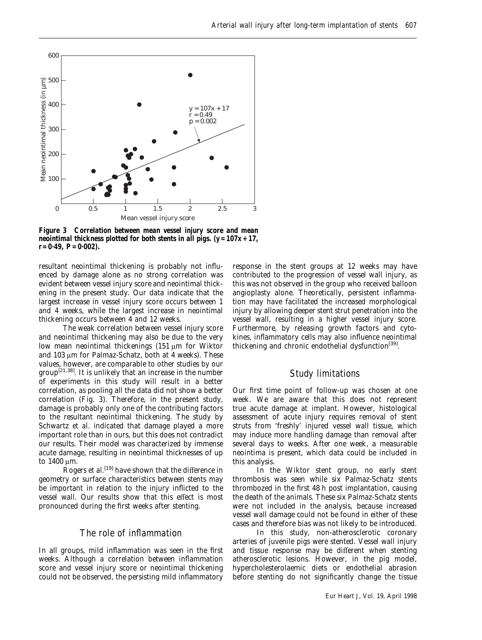

*Figure 3* **Correlation between mean vessel injury score and mean neointimal thickness plotted for both stents in all pigs. (y=107x+17, r=0·49,** *P***=0·002).**

resultant neointimal thickening is probably not influenced by damage alone as no strong correlation was evident between vessel injury score and neointimal thickening in the present study. Our data indicate that the largest increase in vessel injury score occurs between 1 and 4 weeks, while the largest increase in neointimal thickening occurs between 4 and 12 weeks.

The weak correlation between vessel injury score and neointimal thickening may also be due to the very low mean neointimal thickenings  $(151 \mu m)$  for Wiktor and  $103 \mu m$  for Palmaz-Schatz, both at 4 weeks). These values, however, are comparable to other studies by our  $group^{[21,38]}$ . It is unlikely that an increase in the number of experiments in this study will result in a better correlation, as pooling all the data did not show a better correlation (Fig. 3). Therefore, in the present study, damage is probably only one of the contributing factors to the resultant neointimal thickening. The study by Schwartz *et al.* indicated that damage played a more important role than in ours, but this does not contradict our results. Their model was characterized by immense acute damage, resulting in neointimal thicknesses of up to  $1400 \mu m$ .

Rogers *et al.*<sup>[19]</sup> have shown that the difference in geometry or surface characteristics between stents may be important in relation to the injury inflicted to the vessel wall. Our results show that this effect is most pronounced during the first weeks after stenting.

## *The role of inflammation*

In all groups, mild inflammation was seen in the first weeks. Although a correlation between inflammation score and vessel injury score or neointimal thickening could not be observed, the persisting mild inflammatory

response in the stent groups at 12 weeks may have contributed to the progression of vessel wall injury, as this was not observed in the group who received balloon angioplasty alone. Theoretically, persistent inflammation may have facilitated the increased morphological injury by allowing deeper stent strut penetration into the vessel wall, resulting in a higher vessel injury score. Furthermore, by releasing growth factors and cytokines, inflammatory cells may also influence neointimal thickening and chronic endothelial dysfunction<sup>[39]</sup>.

#### *Study limitations*

Our first time point of follow-up was chosen at one week. We are aware that this does not represent true acute damage at implant. However, histological assessment of acute injury requires removal of stent struts from 'freshly' injured vessel wall tissue, which may induce more handling damage than removal after several days to weeks. After one week, a measurable neointima is present, which data could be included in this analysis.

In the Wiktor stent group, no early stent thrombosis was seen while six Palmaz-Schatz stents thrombozed in the first 48 h post implantation, causing the death of the animals. These six Palmaz-Schatz stents were not included in the analysis, because increased vessel wall damage could not be found in either of these cases and therefore bias was not likely to be introduced.

In this study, non-atherosclerotic coronary arteries of juvenile pigs were stented. Vessel wall injury and tissue response may be different when stenting atherosclerotic lesions. However, in the pig model, hypercholesterolaemic diets or endothelial abrasion before stenting do not significantly change the tissue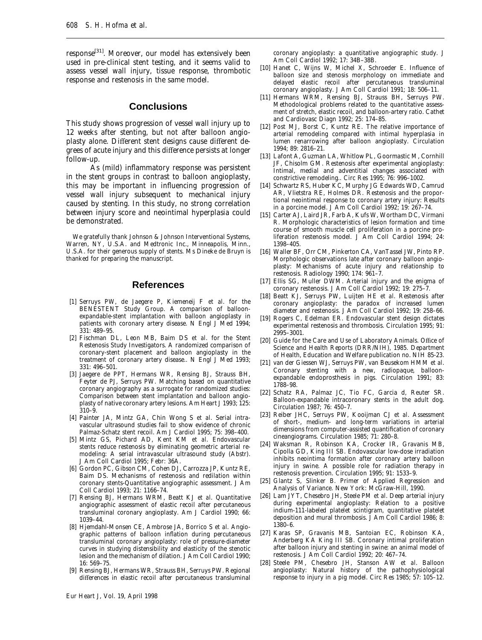response<sup>[31]</sup>. Moreover, our model has extensively been used in pre-clinical stent testing, and it seems valid to assess vessel wall injury, tissue response, thrombotic response and restenosis in the same model.

## **Conclusions**

This study shows progression of vessel wall injury up to 12 weeks after stenting, but not after balloon angioplasty alone. Different stent designs cause different degrees of acute injury and this difference persists at longer follow-up.

As (mild) inflammatory response was persistent in the stent groups in contrast to balloon angioplasty, this may be important in influencing progression of vessel wall injury subsequent to mechanical injury caused by stenting. In this study, no strong correlation between injury score and neointimal hyperplasia could be demonstrated.

We gratefully thank Johnson & Johnson Interventional Systems, Warren, NY, U.S.A. and Medtronic Inc., Minneapolis, Minn., U.S.A. for their generous supply of stents. Ms Dineke de Bruyn is thanked for preparing the manuscript.

### **References**

- [1] Serruys PW, de Jaegere P, Kiemeneij F *et al*. for the BENESTENT Study Group. A comparison of balloonexpandable-stent implantation with balloon angioplasty in patients with coronary artery disease. N Engl J Med 1994; 331: 489–95.
- [2] Fischman DL, Leon MB, Baim DS *et al*. for the Stent Restenosis Study Investigators. A randomized comparison of coronary-stent placement and balloon angioplasty in the treatment of coronary artery disease.. N Engl J Med 1993; 331: 496–501.
- [3] Jaegere de PPT, Hermans WR, Rensing BJ, Strauss BH, Feyter de PJ, Serruys PW. Matching based on quantitative coronary angiography as a surrogate for randomized studies: Comparison between stent implantation and balloon angioplasty of native coronary artery lesions. Am Heart J 1993; 125: 310–9.
- [4] Painter JA, Mintz GA, Chin Wong S *et al*. Serial intravascular ultrasound studies fail to show evidence of chronic Palmaz-Schatz stent recoil. Am J Cardiol 1995; 75: 398–400.
- [5] Mintz GS, Pichard AD, Kent KM *et al*. Endovascular stents reduce restenosis by eliminating geometric arterial remodeling: A serial intravascular ultrasound study (Abstr). J Am Coll Cardiol 1995; Febr: 36A.
- [6] Gordon PC, Gibson CM, Cohen DJ, Carrozza JP, Kuntz RE, Baim DS. Mechanisms of restenosis and redilation within coronary stents-Quantitative angiographic assessment. J Am Coll Cardiol 1993; 21: 1166–74.
- [7] Rensing BJ, Hermans WRM, Beatt KJ *et al*. Quantitative angiographic assessment of elastic recoil after percutaneous transluminal coronary angioplasty. Am J Cardiol 1990; 66: 1039–44.
- [8] Hjemdahl-Monsen CE, Ambrose JA, Borrico S *et al*. Angiographic patterns of balloon inflation during percutaneous transluminal coronary angioplasty: role of pressure-diameter curves in studying distensibility and elasticity of the stenotic lesion and the mechanism of dilation. J Am Coll Cardiol 1990; 16: 569–75.
- [9] Rensing BJ, Hermans WR, Strauss BH, Serruys PW. Regional differences in elastic recoil after percutaneous transluminal

coronary angioplasty: a quantitative angiographic study. J Am Coll Cardiol 1992; 17: 34B–38B.

- [10] Hanet C, Wijns W, Michel X, Schroeder E. Influence of balloon size and stenosis morphology on immediate and delayed elastic recoil after percutaneous transluminal coronary angioplasty. J Am Coll Cardiol 1991; 18: 506–11.
- [11] Hermans WRM, Rensing BJ, Strauss BH, Serruys PW. Methodological problems related to the quantitative assessment of stretch, elastic recoil, and balloon-artery ratio. Cathet and Cardiovasc Diagn 1992; 25: 174–85.
- [12] Post MJ, Borst C, Kuntz RE. The relative importance of arterial remodeling compared with intimal hyperplasia in lumen renarrowing after balloon angioplasty. Circulation 1994; 89: 2816–21.
- [13] Lafont A, Guzman LA, Whitlow PL, Goormastic M, Cornhill JF, Chisolm GM. Restenosis after experimental angioplasty: Intimal, medial and adventitial changes associated with constrictive remodeling.. Circ Res 1995; 76: 996–1002.
- [14] Schwartz RS, Huber KC, Murphy JG Edwards WD, Camrud AR, Vlietstra RE, Holmes DR. Restenosis and the proportional neointimal response to coronary artery injury: Results in a porcine model. J Am Coll Cardiol 1992; 19: 267–74.
- [15] Carter AJ, Laird JR, Farb A, Kufs W, Wortham DC, Virmani R. Morphologic characteristics of lesion formation and time course of smooth muscle cell proliferation in a porcine proliferation restenosis model. J Am Coll Cardiol 1994; 24: 1398–405.
- [16] Waller BF, Orr CM, Pinkerton CA, VanTassel JW, Pinto RP. Morphologic observations late after coronary balloon angioplasty: Mechanisms of acute injury and relationship to restenosis. Radiology 1990; 174: 961–7.
- [17] Ellis SG, Muller DWM. Arterial injury and the enigma of coronary restenosis. J Am Coll Cardiol 1992; 19: 275–7.
- [18] Beatt KJ, Serruys PW, Luijten HE *et al*. Restenosis after coronary angioplasty: the paradox of increased lumen diameter and restenosis. J Am Coll Cardiol 1992; 19: 258–66.
- [19] Rogers C, Edelman ER. Endovascular stent design dictates experimental restenosis and thrombosis. Circulation 1995; 91: 2995–3001.
- [20] Guide for the Care and Use of Laboratory Animals. Office of Science and Health Reports (DRR/NIH), 1985. Department of Health, Education and Welfare publication no. NIH 85-23.
- [21] van der Giessen WJ, Serruys PW, van Beusekom HMM *et al*. Coronary stenting with a new, radiopaque, balloonexpandable endoprosthesis in pigs. Circulation 1991; 83: 1788–98.
- [22] Schatz RA, Palmaz JC, Tio FC, Garcia d, Reuter SR. Balloon-expandable intracoronary stents in the adult dog. Circulation 1987; 76: 450–7.
- [23] Reiber JHC, Serruys PW, Kooijman CJ *et al*. Assessment of short-, medium- and long-term variations in arterial dimensions from computer-assisted quantification of coronary cineangiograms. Circulation 1985; 71: 280–8.
- [24] Waksman R, Robinson KA, Crocker IR, Gravanis MB, Cipolla GD, King III SB. Endovascular low-dose irradiation inhibits neointima formation after coronary artery balloon injury in swine. A possible role for radiation therapy in restenosis prevention. Circulation 1995; 91: 1533–9.
- [25] Glantz S, Slinker B. Primer of Applied Regression and Analysis of Variance. New York: McGraw-Hill, 1990.
- [26] Lam JYT, Chesebro JH, Steele PM *et al*. Deep arterial injury during experimental angioplasty: Relation to a positive indium-111-labeled platelet scintigram, quantitative platelet deposition and mural thrombosis. J Am Coll Cardiol 1986; 8: 1380–6.
- [27] Karas SP, Gravanis MB, Santoian EC, Robinson KA, Anderberg KA King III SB. Coronary intimal proliferation after balloon injury and stenting in swine: an animal model of restenosis. J Am Coll Cardiol 1992; 20: 467–74.
- [28] Steele PM, Chesebro JH, Stanson AW *et al*. Balloon angioplasty: Natural history of the pathophysiological response to injury in a pig model. Circ Res 1985; 57: 105–12.